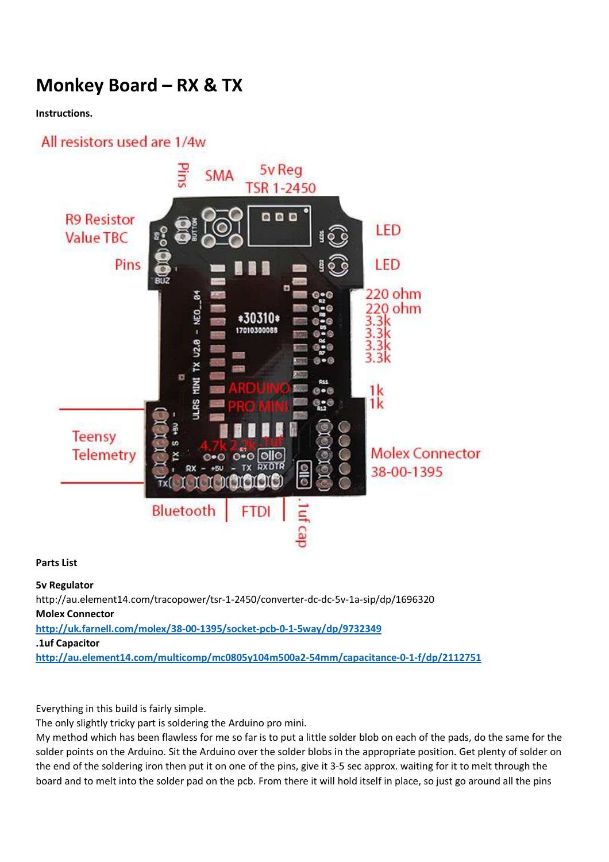# **Monkey Board – RX & TX**

#### **Instructions.**

## All resistors used are 1/4w



#### **Parts List**

#### **5v Regulator**

http://au.element14.com/tracopower/tsr-1-2450/converter-dc-dc-5v-1a-sip/dp/1696320 **Molex Connector http://uk.farnell.com/molex/38-00-1395/socket-pcb-0-1-5way/dp/9732349 .1uf Capacitor http://au.element14.com/multicomp/mc0805y104m500a2-54mm/capacitance-0-1-f/dp/2112751**

Everything in this build is fairly simple.

The only slightly tricky part is soldering the Arduino pro mini.

My method which has been flawless for me so far is to put a little solder blob on each of the pads, do the same for the solder points on the Arduino. Sit the Arduino over the solder blobs in the appropriate position. Get plenty of solder on the end of the soldering iron then put it on one of the pins, give it 3-5 sec approx. waiting for it to melt through the board and to melt into the solder pad on the pcb. From there it will hold itself in place, so just go around all the pins